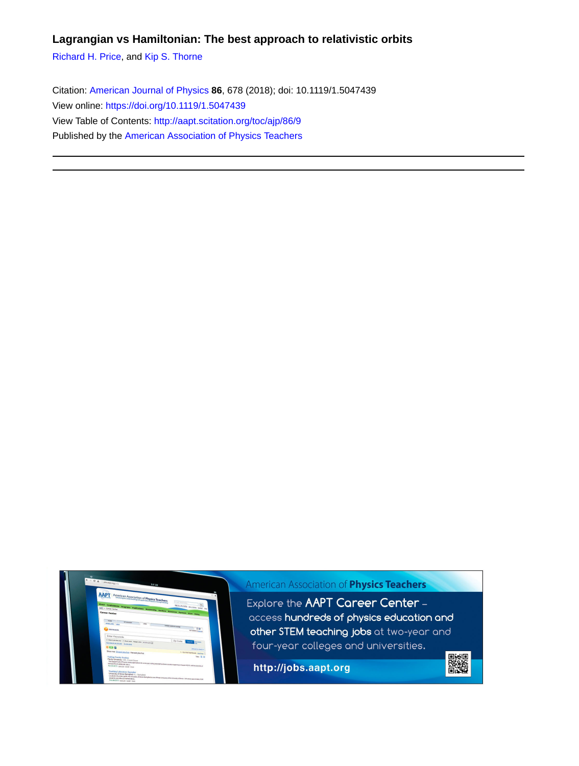## **Lagrangian vs Hamiltonian: The best approach to relativistic orbits**

[Richard H. Price](http://aapt.scitation.org/author/Price%2C+Richard+H), and [Kip S. Thorne](http://aapt.scitation.org/author/Thorne%2C+Kip+S)

Citation: [American Journal of Physics](/loi/ajp) **86**, 678 (2018); doi: 10.1119/1.5047439 View online: <https://doi.org/10.1119/1.5047439> View Table of Contents: <http://aapt.scitation.org/toc/ajp/86/9> Published by the [American Association of Physics Teachers](http://aapt.scitation.org/publisher/)



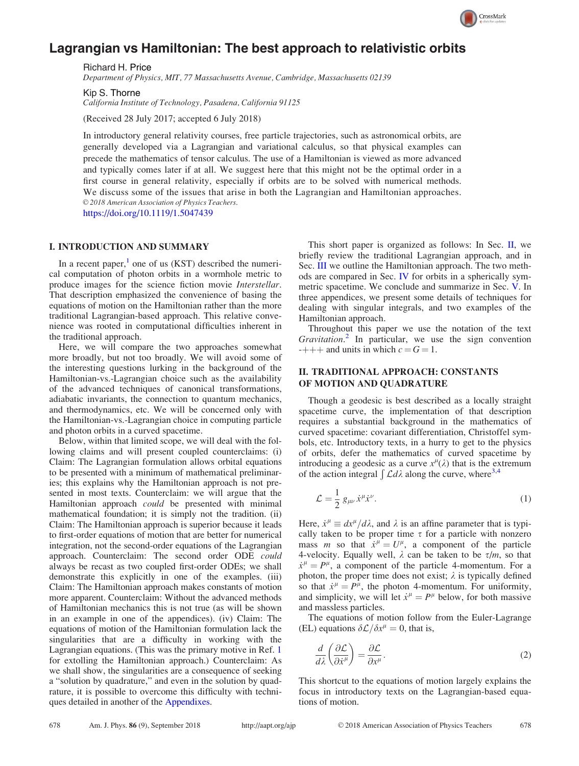# CrossMark

## <span id="page-1-0"></span>Lagrangian vs Hamiltonian: The best approach to relativistic orbits

Richard H. Price

Department of Physics, MIT, 77 Massachusetts Avenue, Cambridge, Massachusetts 02139

Kip S. Thorne California Institute of Technology, Pasadena, California 91125

(Received 28 July 2017; accepted 6 July 2018)

In introductory general relativity courses, free particle trajectories, such as astronomical orbits, are generally developed via a Lagrangian and variational calculus, so that physical examples can precede the mathematics of tensor calculus. The use of a Hamiltonian is viewed as more advanced and typically comes later if at all. We suggest here that this might not be the optimal order in a first course in general relativity, especially if orbits are to be solved with numerical methods. We discuss some of the issues that arise in both the Lagrangian and Hamiltonian approaches. © 2018 American Association of Physics Teachers.

<https://doi.org/10.1119/1.5047439>

## I. INTRODUCTION AND SUMMARY

In a recent paper, $\frac{1}{1}$  $\frac{1}{1}$  $\frac{1}{1}$  one of us (KST) described the numerical computation of photon orbits in a wormhole metric to produce images for the science fiction movie Interstellar. That description emphasized the convenience of basing the equations of motion on the Hamiltonian rather than the more traditional Lagrangian-based approach. This relative convenience was rooted in computational difficulties inherent in the traditional approach.

Here, we will compare the two approaches somewhat more broadly, but not too broadly. We will avoid some of the interesting questions lurking in the background of the Hamiltonian-vs.-Lagrangian choice such as the availability of the advanced techniques of canonical transformations, adiabatic invariants, the connection to quantum mechanics, and thermodynamics, etc. We will be concerned only with the Hamiltonian-vs.-Lagrangian choice in computing particle and photon orbits in a curved spacetime.

Below, within that limited scope, we will deal with the following claims and will present coupled counterclaims: (i) Claim: The Lagrangian formulation allows orbital equations to be presented with a minimum of mathematical preliminaries; this explains why the Hamiltonian approach is not presented in most texts. Counterclaim: we will argue that the Hamiltonian approach could be presented with minimal mathematical foundation; it is simply not the tradition. (ii) Claim: The Hamiltonian approach is superior because it leads to first-order equations of motion that are better for numerical integration, not the second-order equations of the Lagrangian approach. Counterclaim: The second order ODE could always be recast as two coupled first-order ODEs; we shall demonstrate this explicitly in one of the examples. (iii) Claim: The Hamiltonian approach makes constants of motion more apparent. Counterclaim: Without the advanced methods of Hamiltonian mechanics this is not true (as will be shown in an example in one of the appendices). (iv) Claim: The equations of motion of the Hamiltonian formulation lack the singularities that are a difficulty in working with the Lagrangian equations. (This was the primary motive in Ref. [1](#page-5-0) for extolling the Hamiltonian approach.) Counterclaim: As we shall show, the singularities are a consequence of seeking a "solution by quadrature," and even in the solution by quadrature, it is possible to overcome this difficulty with techniques detailed in another of the [Appendixes.](#page-3-0)

This short paper is organized as follows: In Sec. II, we briefly review the traditional Lagrangian approach, and in Sec. [III](#page-2-0) we outline the Hamiltonian approach. The two methods are compared in Sec. [IV](#page-2-0) for orbits in a spherically symmetric spacetime. We conclude and summarize in Sec. [V](#page-3-0). In three appendices, we present some details of techniques for dealing with singular integrals, and two examples of the Hamiltonian approach.

Throughout this paper we use the notation of the text Gravitation.<sup>[2](#page-5-0)</sup> In particular, we use the sign convention  $-+++$  and units in which  $c = G = 1$ .

## II. TRADITIONAL APPROACH: CONSTANTS OF MOTION AND QUADRATURE

Though a geodesic is best described as a locally straight spacetime curve, the implementation of that description requires a substantial background in the mathematics of curved spacetime: covariant differentiation, Christoffel symbols, etc. Introductory texts, in a hurry to get to the physics of orbits, defer the mathematics of curved spacetime by introducing a geodesic as a curve  $x^{\mu}(\lambda)$  that is the extremum Informating a geodesic as a curve  $\chi(\lambda)$  that is the ex-<br>of the action integral  $\int \mathcal{L}d\lambda$  along the curve, where<sup>[3,4](#page-5-0)</sup>

$$
\mathcal{L} = \frac{1}{2} g_{\mu\nu} \dot{x}^{\mu} \dot{x}^{\nu}.
$$
 (1)

Here,  $\dot{x}^{\mu} \equiv dx^{\mu}/d\lambda$ , and  $\lambda$  is an affine parameter that is typically taken to be proper time  $\tau$  for a particle with nonzero mass m so that  $\dot{x}^{\mu} = U^{\mu}$ , a component of the particle 4-velocity. Equally well,  $\lambda$  can be taken to be  $\tau/m$ , so that  $\dot{x}^{\mu} = P^{\mu}$ , a component of the particle 4-momentum. For a photon, the proper time does not exist;  $\lambda$  is typically defined so that  $\dot{x}^{\mu} = P^{\mu}$ , the photon 4-momentum. For uniformity, and simplicity, we will let  $\dot{x}^{\mu} = P^{\mu}$  below, for both massive and massless particles.

The equations of motion follow from the Euler-Lagrange (EL) equations  $\delta \mathcal{L}/\delta x^{\mu} = 0$ , that is,

$$
\frac{d}{d\lambda} \left( \frac{\partial \mathcal{L}}{\partial \dot{x}^{\mu}} \right) = \frac{\partial \mathcal{L}}{\partial x^{\mu}}.
$$
 (2)

This shortcut to the equations of motion largely explains the focus in introductory texts on the Lagrangian-based equations of motion.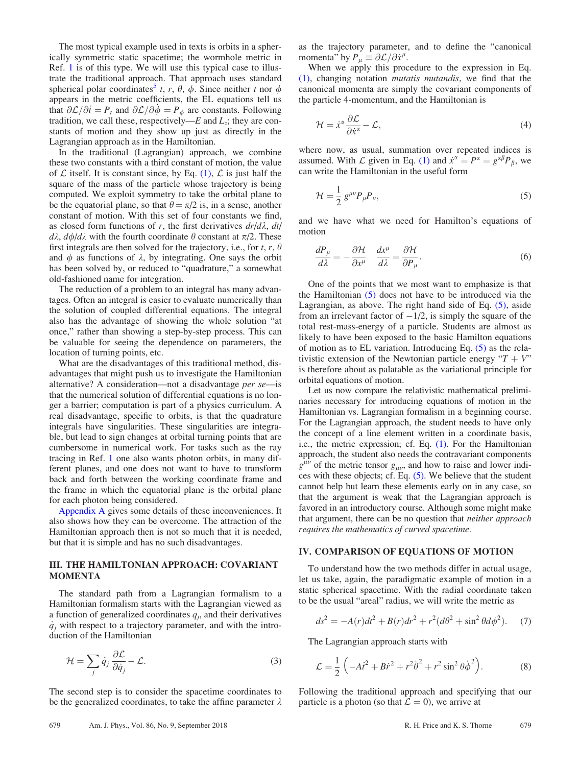<span id="page-2-0"></span>The most typical example used in texts is orbits in a spherically symmetric static spacetime; the wormhole metric in Ref. [1](#page-5-0) is of this type. We will use this typical case to illustrate the traditional approach. That approach uses standard spherical polar coordinates<sup>3</sup> t, r,  $\theta$ ,  $\phi$ . Since neither t nor  $\phi$ appears in the metric coefficients, the EL equations tell us that  $\partial \mathcal{L}/\partial \dot{t}=P_t$  and  $\partial \mathcal{L}/\partial \phi=P_\phi$  are constants. Following tradition, we call these, respectively— $E$  and  $L_z$ ; they are constants of motion and they show up just as directly in the Lagrangian approach as in the Hamiltonian.

In the traditional (Lagrangian) approach, we combine these two constants with a third constant of motion, the value of  $\mathcal L$  itself. It is constant since, by Eq. [\(1\)](#page-1-0),  $\mathcal L$  is just half the square of the mass of the particle whose trajectory is being computed. We exploit symmetry to take the orbital plane to be the equatorial plane, so that  $\theta = \pi/2$  is, in a sense, another constant of motion. With this set of four constants we find, as closed form functions of r, the first derivatives  $dr/d\lambda$ ,  $dt/$  $d\lambda$ ,  $d\phi/d\lambda$  with the fourth coordinate  $\theta$  constant at  $\pi/2$ . These first integrals are then solved for the trajectory, i.e., for t, r,  $\theta$ and  $\phi$  as functions of  $\lambda$ , by integrating. One says the orbit has been solved by, or reduced to "quadrature," a somewhat old-fashioned name for integration.

The reduction of a problem to an integral has many advantages. Often an integral is easier to evaluate numerically than the solution of coupled differential equations. The integral also has the advantage of showing the whole solution "at once," rather than showing a step-by-step process. This can be valuable for seeing the dependence on parameters, the location of turning points, etc.

What are the disadvantages of this traditional method, disadvantages that might push us to investigate the Hamiltonian alternative? A consideration—not a disadvantage per se—is that the numerical solution of differential equations is no longer a barrier; computation is part of a physics curriculum. A real disadvantage, specific to orbits, is that the quadrature integrals have singularities. These singularities are integrable, but lead to sign changes at orbital turning points that are cumbersome in numerical work. For tasks such as the ray tracing in Ref. [1](#page-5-0) one also wants photon orbits, in many different planes, and one does not want to have to transform back and forth between the working coordinate frame and the frame in which the equatorial plane is the orbital plane for each photon being considered.

[Appendix A](#page-3-0) gives some details of these inconveniences. It also shows how they can be overcome. The attraction of the Hamiltonian approach then is not so much that it is needed, but that it is simple and has no such disadvantages.

## III. THE HAMILTONIAN APPROACH: COVARIANT **MOMENTA**

The standard path from a Lagrangian formalism to a Hamiltonian formalism starts with the Lagrangian viewed as a function of generalized coordinates  $q_i$ , and their derivatives  $\dot{q}_i$  with respect to a trajectory parameter, and with the introduction of the Hamiltonian

$$
\mathcal{H} = \sum_{j} \dot{q}_{j} \frac{\partial \mathcal{L}}{\partial \dot{q}_{j}} - \mathcal{L}.
$$
 (3)

The second step is to consider the spacetime coordinates to be the generalized coordinates, to take the affine parameter  $\lambda$ 

as the trajectory parameter, and to define the "canonical momenta" by  $P_{\mu} \equiv \partial \mathcal{L} / \partial \dot{x}^{\mu}$ .

When we apply this procedure to the expression in Eq. [\(1\),](#page-1-0) changing notation mutatis mutandis, we find that the canonical momenta are simply the covariant components of the particle 4-momentum, and the Hamiltonian is

$$
\mathcal{H} = \dot{x}^{\alpha} \frac{\partial \mathcal{L}}{\partial \dot{x}^{\alpha}} - \mathcal{L},\tag{4}
$$

where now, as usual, summation over repeated indices is assumed. With  $\mathcal L$  given in Eq. [\(1\)](#page-1-0) and  $\dot{x}^\alpha = P^\alpha = g^{\alpha\beta}P_\beta$ , we can write the Hamiltonian in the useful form

$$
\mathcal{H} = \frac{1}{2} g^{\mu\nu} P_{\mu} P_{\nu},\tag{5}
$$

and we have what we need for Hamilton's equations of motion

$$
\frac{dP_{\mu}}{d\lambda} = -\frac{\partial \mathcal{H}}{\partial x^{\mu}} \quad \frac{dx^{\mu}}{d\lambda} = \frac{\partial \mathcal{H}}{\partial P_{\mu}}.
$$
 (6)

One of the points that we most want to emphasize is that the Hamiltonian (5) does not have to be introduced via the Lagrangian, as above. The right hand side of Eq.  $(5)$ , aside from an irrelevant factor of  $-1/2$ , is simply the square of the total rest-mass-energy of a particle. Students are almost as likely to have been exposed to the basic Hamilton equations of motion as to EL variation. Introducing Eq. (5) as the relativistic extension of the Newtonian particle energy " $T + V$ " is therefore about as palatable as the variational principle for orbital equations of motion.

Let us now compare the relativistic mathematical preliminaries necessary for introducing equations of motion in the Hamiltonian vs. Lagrangian formalism in a beginning course. For the Lagrangian approach, the student needs to have only the concept of a line element written in a coordinate basis, i.e., the metric expression; cf. Eq. [\(1\)](#page-1-0). For the Hamiltonian approach, the student also needs the contravariant components  $g^{\mu\nu}$  of the metric tensor  $g_{\mu\nu}$ , and how to raise and lower indices with these objects; cf. Eq. (5). We believe that the student cannot help but learn these elements early on in any case, so that the argument is weak that the Lagrangian approach is favored in an introductory course. Although some might make that argument, there can be no question that neither approach requires the mathematics of curved spacetime.

#### IV. COMPARISON OF EQUATIONS OF MOTION

To understand how the two methods differ in actual usage, let us take, again, the paradigmatic example of motion in a static spherical spacetime. With the radial coordinate taken to be the usual "areal" radius, we will write the metric as

$$
ds^{2} = -A(r)dt^{2} + B(r)dr^{2} + r^{2}(d\theta^{2} + \sin^{2}\theta d\phi^{2}).
$$
 (7)

The Lagrangian approach starts with

$$
\mathcal{L} = \frac{1}{2} \left( -A\dot{t}^2 + B\dot{r}^2 + r^2\dot{\theta}^2 + r^2\sin^2\theta\dot{\phi}^2 \right).
$$
 (8)

Following the traditional approach and specifying that our particle is a photon (so that  $\mathcal{L} = 0$ ), we arrive at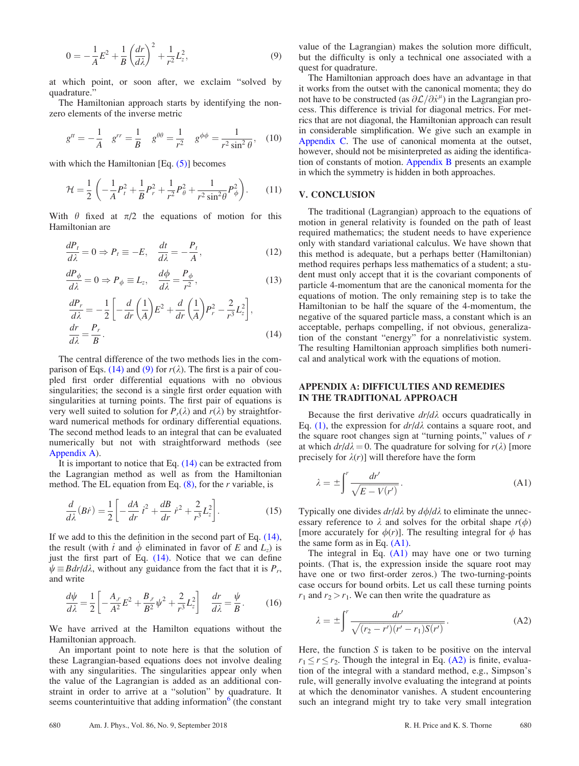<span id="page-3-0"></span>
$$
0 = -\frac{1}{A}E^2 + \frac{1}{B}\left(\frac{dr}{d\lambda}\right)^2 + \frac{1}{r^2}L_z^2,
$$
\n(9)

at which point, or soon after, we exclaim "solved by quadrature."

The Hamiltonian approach starts by identifying the nonzero elements of the inverse metric

$$
g'' = -\frac{1}{A} \quad g'' = \frac{1}{B} \quad g^{\theta\theta} = \frac{1}{r^2} \quad g^{\phi\phi} = \frac{1}{r^2 \sin^2 \theta}, \quad (10)
$$

with which the Hamiltonian [Eq. [\(5\)](#page-2-0)] becomes

$$
\mathcal{H} = \frac{1}{2} \left( -\frac{1}{A} P_t^2 + \frac{1}{B} P_r^2 + \frac{1}{r^2} P_\theta^2 + \frac{1}{r^2 \sin^2 \theta} P_\phi^2 \right). \tag{11}
$$

With  $\theta$  fixed at  $\pi/2$  the equations of motion for this Hamiltonian are

$$
\frac{dP_t}{d\lambda} = 0 \Rightarrow P_t \equiv -E, \quad \frac{dt}{d\lambda} = -\frac{P_t}{A},\tag{12}
$$

$$
\frac{dP_{\phi}}{d\lambda} = 0 \Rightarrow P_{\phi} \equiv L_z, \quad \frac{d\phi}{d\lambda} = \frac{P_{\phi}}{r^2},\tag{13}
$$

$$
\frac{dP_r}{d\lambda} = -\frac{1}{2} \left[ -\frac{d}{dr} \left( \frac{1}{A} \right) E^2 + \frac{d}{dr} \left( \frac{1}{A} \right) P_r^2 - \frac{2}{r^3} L_z^2 \right],
$$
\n
$$
\frac{dr}{d\lambda} = \frac{P_r}{B}.
$$
\n(14)

The central difference of the two methods lies in the com-parison of Eqs. (14) and [\(9\)](#page-2-0) for  $r(\lambda)$ . The first is a pair of coupled first order differential equations with no obvious singularities; the second is a single first order equation with singularities at turning points. The first pair of equations is very well suited to solution for  $P_r(\lambda)$  and  $r(\lambda)$  by straightforward numerical methods for ordinary differential equations. The second method leads to an integral that can be evaluated numerically but not with straightforward methods (see Appendix A).

It is important to notice that Eq.  $(14)$  can be extracted from the Lagrangian method as well as from the Hamiltonian method. The EL equation from Eq.  $(8)$ , for the *r* variable, is

$$
\frac{d}{d\lambda}(B\dot{r}) = \frac{1}{2} \left[ -\frac{dA}{dr} \dot{t}^2 + \frac{dB}{dr} \dot{r}^2 + \frac{2}{r^3} L_z^2 \right].
$$
 (15)

If we add to this the definition in the second part of Eq. (14), the result (with i and  $\dot{\phi}$  eliminated in favor of E and  $L_z$ ) is just the first part of Eq. (14). Notice that we can define  $\psi \equiv Bdr/d\lambda$ , without any guidance from the fact that it is  $P_r$ , and write

$$
\frac{d\psi}{d\lambda} = \frac{1}{2} \left[ -\frac{A_{,r}}{A^2} E^2 + \frac{B_{,r}}{B^2} \psi^2 + \frac{2}{r^3} L_z^2 \right] \frac{dr}{d\lambda} = \frac{\psi}{B}.
$$
 (16)

We have arrived at the Hamilton equations without the Hamiltonian approach.

An important point to note here is that the solution of these Lagrangian-based equations does not involve dealing with any singularities. The singularities appear only when the value of the Lagrangian is added as an additional constraint in order to arrive at a "solution" by quadrature. It seems counterintuitive that adding information $6$  (the constant

value of the Lagrangian) makes the solution more difficult, but the difficulty is only a technical one associated with a quest for quadrature.

The Hamiltonian approach does have an advantage in that it works from the outset with the canonical momenta; they do not have to be constructed (as  $\partial \mathcal{L}/\partial \dot{x}^\mu$ ) in the Lagrangian process. This difference is trivial for diagonal metrics. For metrics that are not diagonal, the Hamiltonian approach can result in considerable simplification. We give such an example in [Appendix C](#page-4-0). The use of canonical momenta at the outset, however, should not be misinterpreted as aiding the identification of constants of motion. [Appendix B](#page-4-0) presents an example in which the symmetry is hidden in both approaches.

#### V. CONCLUSION

The traditional (Lagrangian) approach to the equations of motion in general relativity is founded on the path of least required mathematics; the student needs to have experience only with standard variational calculus. We have shown that this method is adequate, but a perhaps better (Hamiltonian) method requires perhaps less mathematics of a student; a student must only accept that it is the covariant components of particle 4-momentum that are the canonical momenta for the equations of motion. The only remaining step is to take the Hamiltonian to be half the square of the 4-momentum, the negative of the squared particle mass, a constant which is an acceptable, perhaps compelling, if not obvious, generalization of the constant "energy" for a nonrelativistic system. The resulting Hamiltonian approach simplifies both numerical and analytical work with the equations of motion.

## APPENDIX A: DIFFICULTIES AND REMEDIES IN THE TRADITIONAL APPROACH

Because the first derivative  $dr/d\lambda$  occurs quadratically in Eq. [\(1\),](#page-1-0) the expression for  $dr/d\lambda$  contains a square root, and the square root changes sign at "turning points," values of r at which  $dr/d\lambda = 0$ . The quadrature for solving for  $r(\lambda)$  [more precisely for  $\lambda(r)$ ] will therefore have the form

$$
\lambda = \pm \int^{r} \frac{dr'}{\sqrt{E - V(r')}}.
$$
\n(A1)

Typically one divides  $dr/d\lambda$  by  $d\phi/d\lambda$  to eliminate the unnecessary reference to  $\lambda$  and solves for the orbital shape  $r(\phi)$ [more accurately for  $\phi(r)$ ]. The resulting integral for  $\phi$  has the same form as in Eq. (A1).

The integral in Eq.  $(A1)$  may have one or two turning points. (That is, the expression inside the square root may have one or two first-order zeros.) The two-turning-points case occurs for bound orbits. Let us call these turning points  $r_1$  and  $r_2 > r_1$ . We can then write the quadrature as

$$
\lambda = \pm \int^{r} \frac{dr'}{\sqrt{(r_2 - r')(r' - r_1)S(r')}}.
$$
\n(A2)

Here, the function  $S$  is taken to be positive on the interval  $r_1 \le r \le r_2$ . Though the integral in Eq. (A2) is finite, evaluation of the integral with a standard method, e.g., Simpson's rule, will generally involve evaluating the integrand at points at which the denominator vanishes. A student encountering such an integrand might try to take very small integration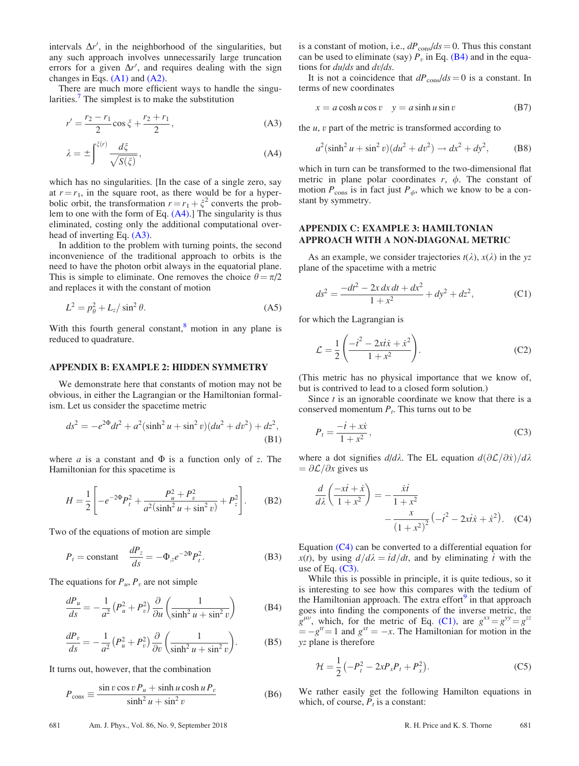<span id="page-4-0"></span>intervals  $\Delta r'$ , in the neighborhood of the singularities, but any such approach involves unnecessarily large truncation errors for a given  $\Delta r'$ , and requires dealing with the sign changes in Eqs. [\(A1\)](#page-3-0) and [\(A2\)](#page-3-0).

There are much more efficient ways to handle the singu-larities.<sup>[7](#page-5-0)</sup> The simplest is to make the substitution

$$
r' = \frac{r_2 - r_1}{2} \cos \xi + \frac{r_2 + r_1}{2},
$$
 (A3)

$$
\lambda = \pm \int^{\xi(r)} \frac{d\xi}{\sqrt{S(\xi)}},\tag{A4}
$$

which has no singularities. [In the case of a single zero, say at  $r = r_1$ , in the square root, as there would be for a hyperbolic orbit, the transformation  $r = r_1 + \xi^2$  converts the problem to one with the form of Eq. (A4).] The singularity is thus eliminated, costing only the additional computational overhead of inverting Eq. (A3).

In addition to the problem with turning points, the second inconvenience of the traditional approach to orbits is the need to have the photon orbit always in the equatorial plane. This is simple to eliminate. One removes the choice  $\theta = \pi/2$ and replaces it with the constant of motion

$$
L^2 = p_\theta^2 + L_z / \sin^2 \theta. \tag{A5}
$$

With this fourth general constant, $\frac{8}{3}$  $\frac{8}{3}$  $\frac{8}{3}$  motion in any plane is reduced to quadrature.

#### APPENDIX B: EXAMPLE 2: HIDDEN SYMMETRY

We demonstrate here that constants of motion may not be obvious, in either the Lagrangian or the Hamiltonian formalism. Let us consider the spacetime metric

$$
ds^{2} = -e^{2\Phi}dt^{2} + a^{2}(\sinh^{2} u + \sin^{2} v)(du^{2} + dv^{2}) + dz^{2},
$$
\n(B1)

where *a* is a constant and  $\Phi$  is a function only of *z*. The Hamiltonian for this spacetime is

$$
H = \frac{1}{2} \left[ -e^{-2\Phi} P_t^2 + \frac{P_u^2 + P_v^2}{a^2 (\sinh^2 u + \sin^2 v)} + P_z^2 \right].
$$
 (B2)

Two of the equations of motion are simple

$$
P_t = \text{constant} \quad \frac{dP_z}{ds} = -\Phi_{,z}e^{-2\Phi}P_t^2. \tag{B3}
$$

The equations for  $P_u$ ,  $P_v$  are not simple

$$
\frac{dP_u}{ds} = -\frac{1}{a^2} \left( P_u^2 + P_v^2 \right) \frac{\partial}{\partial u} \left( \frac{1}{\sinh^2 u + \sin^2 v} \right) \tag{B4}
$$

$$
\frac{dP_v}{ds} = -\frac{1}{a^2} \left( P_u^2 + P_v^2 \right) \frac{\partial}{\partial v} \left( \frac{1}{\sinh^2 u + \sin^2 v} \right). \tag{B5}
$$

It turns out, however, that the combination

$$
P_{\text{cons}} \equiv \frac{\sin v \cos v P_u + \sinh u \cosh u P_v}{\sinh^2 u + \sin^2 v} \tag{B6}
$$

is a constant of motion, i.e.,  $dP_{\text{cons}}/ds = 0$ . Thus this constant can be used to eliminate (say)  $P_v$  in Eq. (B4) and in the equations for du/ds and dv/ds.

It is not a coincidence that  $dP_{\text{cons}}/ds = 0$  is a constant. In terms of new coordinates

$$
x = a \cosh u \cos v \quad y = a \sinh u \sin v \tag{B7}
$$

the  $u$ ,  $v$  part of the metric is transformed according to

$$
a^{2}(\sinh^{2} u + \sin^{2} v)(du^{2} + dv^{2}) \rightarrow dx^{2} + dy^{2},
$$
 (B8)

which in turn can be transformed to the two-dimensional flat metric in plane polar coordinates  $r$ ,  $\phi$ . The constant of motion  $P_{\text{cons}}$  is in fact just  $P_{\phi}$ , which we know to be a constant by symmetry.

## APPENDIX C: EXAMPLE 3: HAMILTONIAN APPROACH WITH A NON-DIAGONAL METRIC

As an example, we consider trajectories  $t(\lambda)$ ,  $x(\lambda)$  in the yz plane of the spacetime with a metric

$$
ds^{2} = \frac{-dt^{2} - 2x dx dt + dx^{2}}{1 + x^{2}} + dy^{2} + dz^{2},
$$
 (C1)

for which the Lagrangian is

$$
\mathcal{L} = \frac{1}{2} \left( \frac{-i^2 - 2x i \dot{x} + \dot{x}^2}{1 + x^2} \right).
$$
 (C2)

(This metric has no physical importance that we know of, but is contrived to lead to a closed form solution.)

Since  $t$  is an ignorable coordinate we know that there is a conserved momentum  $P_t$ . This turns out to be

$$
P_t = \frac{-\dot{t} + x\dot{x}}{1 + x^2},\tag{C3}
$$

where a dot signifies  $d/d\lambda$ . The EL equation  $d(\partial \mathcal{L}/\partial \dot{x})/d\lambda$  $=\partial \mathcal{L}/\partial x$  gives us

$$
\frac{d}{d\lambda} \left( \frac{-x\dot{t} + \dot{x}}{1 + x^2} \right) = -\frac{\dot{x}\dot{t}}{1 + x^2} - \frac{x}{\left(1 + x^2\right)^2} \left( -\dot{t}^2 - 2x\dot{t}\dot{x} + \dot{x}^2 \right). \quad (C4)
$$

Equation (C4) can be converted to a differential equation for  $x(t)$ , by using  $d/d\lambda = \frac{td}{dt}$ , and by eliminating t with the use of Eq.  $(C3)$ .

While this is possible in principle, it is quite tedious, so it is interesting to see how this compares with the tedium of the Hamiltonian approach. The extra effort<sup>[9](#page-5-0)</sup> in that approach goes into finding the components of the inverse metric, the  $g^{\mu\nu}$ , which, for the metric of Eq. (C1), are  $g^{xx} = g^{yy} = g^{zz}$  $= -g<sup>tt</sup> = 1$  and  $g<sup>xt</sup> = -x$ . The Hamiltonian for motion in the yz plane is therefore

$$
\mathcal{H} = \frac{1}{2} \left( -P_t^2 - 2x P_x P_t + P_x^2 \right). \tag{C5}
$$

We rather easily get the following Hamilton equations in which, of course,  $P_t$  is a constant: